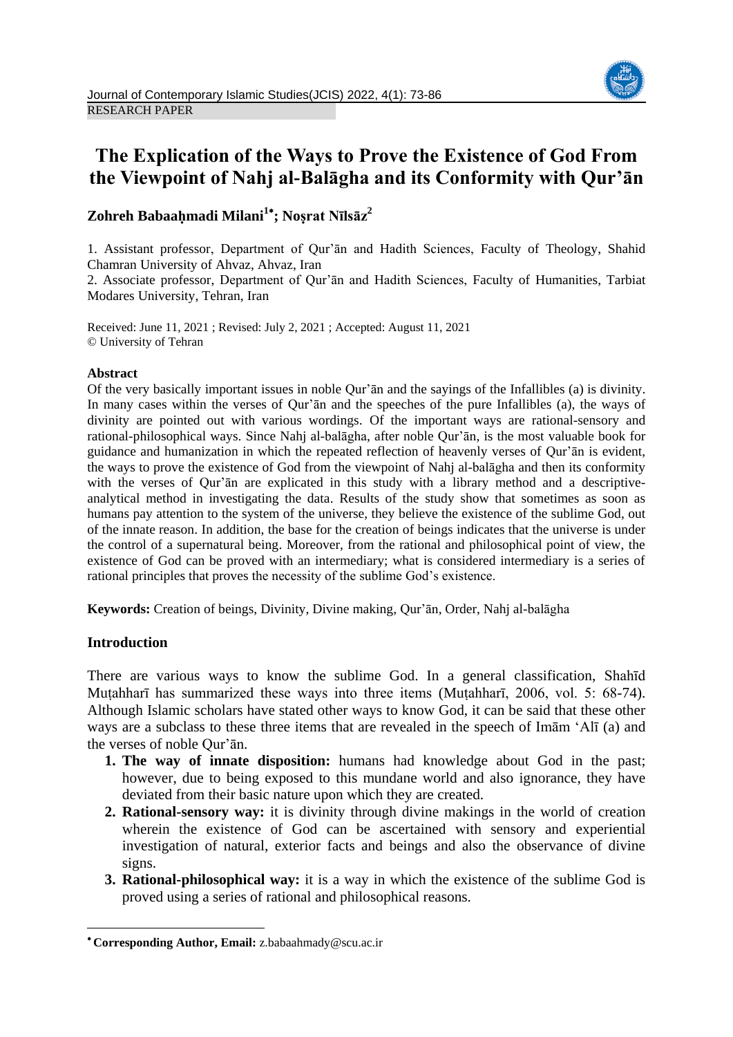

# **The Explication of the Ways to Prove the Existence of God From the Viewpoint of Nahj al-Balāgha and its Conformity with Qur'ān**

## **Zohreh Babaaḥmadi Milani<sup>1</sup> ; Noṣrat Nīlsāz<sup>2</sup>**

1. Assistant professor, Department of Qur'ān and Hadith Sciences, Faculty of Theology, Shahid Chamran University of Ahvaz, Ahvaz, Iran

2. Associate professor, Department of Qur'ān and Hadith Sciences, Faculty of Humanities, Tarbiat Modares University, Tehran, Iran

Received: June 11, 2021 ; Revised: July 2, 2021 ; Accepted: August 11, 2021 © University of Tehran

## **Abstract**

Of the very basically important issues in noble Qur'ān and the sayings of the Infallibles (a) is divinity. In many cases within the verses of Qur'ān and the speeches of the pure Infallibles (a), the ways of divinity are pointed out with various wordings. Of the important ways are rational-sensory and rational-philosophical ways. Since Nahj al-balāgha, after noble Qur'ān, is the most valuable book for guidance and humanization in which the repeated reflection of heavenly verses of Qur'ān is evident, the ways to prove the existence of God from the viewpoint of Nahj al-balāgha and then its conformity with the verses of Qur'ān are explicated in this study with a library method and a descriptiveanalytical method in investigating the data. Results of the study show that sometimes as soon as humans pay attention to the system of the universe, they believe the existence of the sublime God, out of the innate reason. In addition, the base for the creation of beings indicates that the universe is under the control of a supernatural being. Moreover, from the rational and philosophical point of view, the existence of God can be proved with an intermediary; what is considered intermediary is a series of rational principles that proves the necessity of the sublime God's existence.

**Keywords:** Creation of beings, Divinity, Divine making, Qur'ān, Order, Nahj al-balāgha

## **Introduction**

**.** 

There are various ways to know the sublime God. In a general classification, Shahīd Muṭahharī has summarized these ways into three items (Muṭahharī, 2006, vol. 5: 68-74). Although Islamic scholars have stated other ways to know God, it can be said that these other ways are a subclass to these three items that are revealed in the speech of Imām 'Alī (a) and the verses of noble Qur'ān.

- **1. The way of innate disposition:** humans had knowledge about God in the past; however, due to being exposed to this mundane world and also ignorance, they have deviated from their basic nature upon which they are created.
- **2. Rational-sensory way:** it is divinity through divine makings in the world of creation wherein the existence of God can be ascertained with sensory and experiential investigation of natural, exterior facts and beings and also the observance of divine signs.
- **3. Rational-philosophical way:** it is a way in which the existence of the sublime God is proved using a series of rational and philosophical reasons.

**Corresponding Author, Email:** z.babaahmady@scu.ac.ir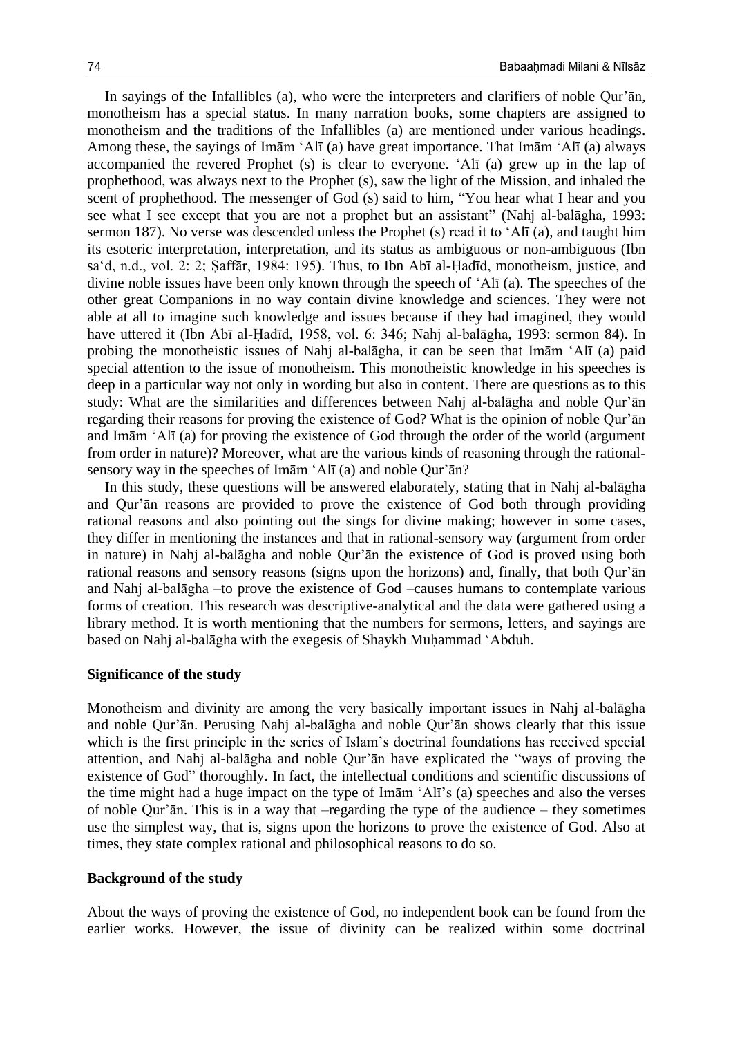In sayings of the Infallibles (a), who were the interpreters and clarifiers of noble Qur'ān, monotheism has a special status. In many narration books, some chapters are assigned to monotheism and the traditions of the Infallibles (a) are mentioned under various headings. Among these, the sayings of Imām 'Alī (a) have great importance. That Imām 'Alī (a) always accompanied the revered Prophet (s) is clear to everyone. 'Alī (a) grew up in the lap of prophethood, was always next to the Prophet (s), saw the light of the Mission, and inhaled the scent of prophethood. The messenger of God (s) said to him, "You hear what I hear and you see what I see except that you are not a prophet but an assistant" (Nahj al-balāgha, 1993: sermon 187). No verse was descended unless the Prophet (s) read it to 'Alī (a), and taught him its esoteric interpretation, interpretation, and its status as ambiguous or non-ambiguous (Ibn sa'd, n.d., vol. 2: 2; Saffār, 1984: 195). Thus, to Ibn Abī al-Hadīd, monotheism, justice, and divine noble issues have been only known through the speech of 'Alī (a). The speeches of the other great Companions in no way contain divine knowledge and sciences. They were not able at all to imagine such knowledge and issues because if they had imagined, they would have uttered it (Ibn Abī al-Ḥadīd, 1958, vol. 6: 346; Nahj al-balāgha, 1993: sermon 84). In probing the monotheistic issues of Nahj al-balāgha, it can be seen that Imām 'Alī (a) paid special attention to the issue of monotheism. This monotheistic knowledge in his speeches is deep in a particular way not only in wording but also in content. There are questions as to this study: What are the similarities and differences between Nahj al-balāgha and noble Qur'ān regarding their reasons for proving the existence of God? What is the opinion of noble Qur'ān and Imām 'Alī (a) for proving the existence of God through the order of the world (argument from order in nature)? Moreover, what are the various kinds of reasoning through the rationalsensory way in the speeches of Imām 'Alī (a) and noble Qur'ān?

In this study, these questions will be answered elaborately, stating that in Nahj al-balāgha and Qur'ān reasons are provided to prove the existence of God both through providing rational reasons and also pointing out the sings for divine making; however in some cases, they differ in mentioning the instances and that in rational-sensory way (argument from order in nature) in Nahj al-balāgha and noble Qur'ān the existence of God is proved using both rational reasons and sensory reasons (signs upon the horizons) and, finally, that both Qur'ān and Nahj al-balāgha –to prove the existence of God –causes humans to contemplate various forms of creation. This research was descriptive-analytical and the data were gathered using a library method. It is worth mentioning that the numbers for sermons, letters, and sayings are based on Nahj al-balāgha with the exegesis of Shaykh Muhammad 'Abduh.

#### **Significance of the study**

Monotheism and divinity are among the very basically important issues in Nahj al-balāgha and noble Qur'ān. Perusing Nahj al-balāgha and noble Qur'ān shows clearly that this issue which is the first principle in the series of Islam's doctrinal foundations has received special attention, and Nahj al-balāgha and noble Qur'ān have explicated the "ways of proving the existence of God" thoroughly. In fact, the intellectual conditions and scientific discussions of the time might had a huge impact on the type of Imām 'Alī's (a) speeches and also the verses of noble Qur'ān. This is in a way that –regarding the type of the audience – they sometimes use the simplest way, that is, signs upon the horizons to prove the existence of God. Also at times, they state complex rational and philosophical reasons to do so.

#### **Background of the study**

About the ways of proving the existence of God, no independent book can be found from the earlier works. However, the issue of divinity can be realized within some doctrinal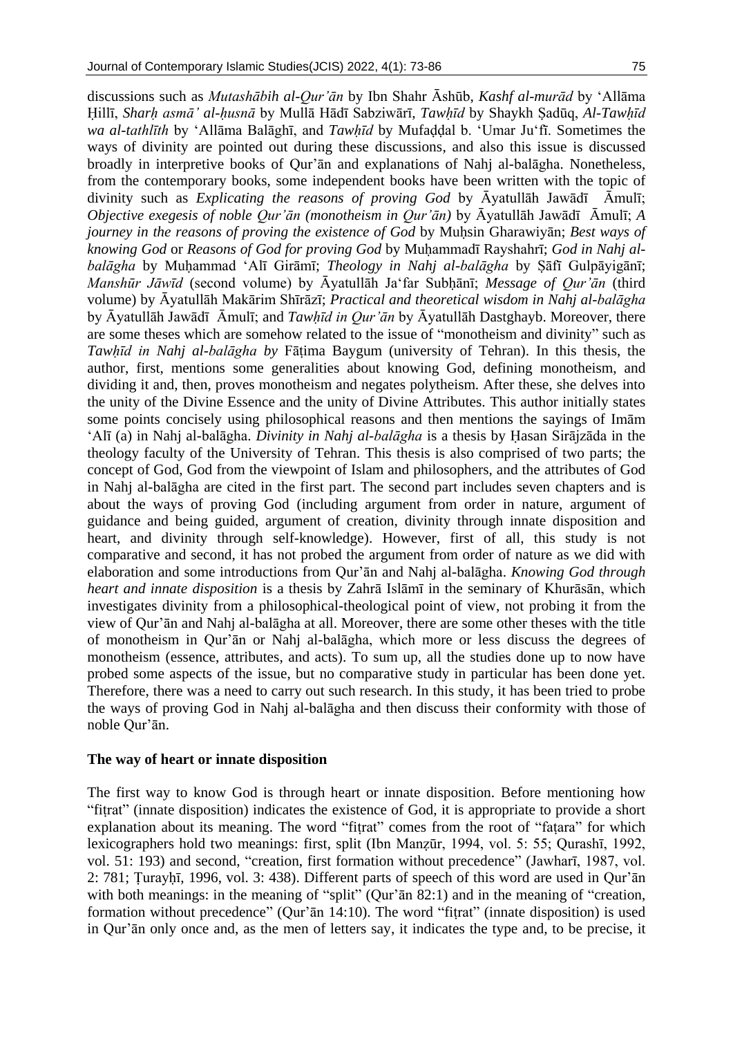discussions such as *Mutashābih al-Qur'ān* by Ibn Shahr Āshūb, *Kashf al-murād* by 'Allāma Ḥillī, *Sharḥ asmā' al-ḥusnā* by Mullā Hādī Sabziwārī, *Tawḥīd* by Shaykh Ṣadūq, *Al-Tawḥīd wa al-tathlīth* by 'Allāma Balāghī, and *Tawhīd* by Mufaddal b. 'Umar Ju'fī. Sometimes the ways of divinity are pointed out during these discussions, and also this issue is discussed broadly in interpretive books of Qur'ān and explanations of Nahj al-balāgha. Nonetheless, from the contemporary books, some independent books have been written with the topic of divinity such as *Explicating the reasons of proving God* by Āyatullāh Jawādī Āmulī; *Objective exegesis of noble Qur'ān (monotheism in Qur'ān)* by Āyatullāh Jawādī Āmulī; *A journey in the reasons of proving the existence of God by Muhsin Gharawiyān; Best ways of knowing God* or *Reasons of God for proving God* by Muḥammadī Rayshahrī; *God in Nahj albalāgha* by Muḥammad 'Alī Girāmī; *Theology in Nahj al-balāgha* by Ṣāfī Gulpāyigānī; *Manshūr Jāwīd* (second volume) by Āyatullāh Ja'far Subḥānī; *Message of Qur'ān* (third volume) by Āyatullāh Makārim Shīrāzī; *Practical and theoretical wisdom in Nahj al-balāgha* by Āyatullāh Jawādī Āmulī; and *Tawḥīd in Qur'ān* by Āyatullāh Dastghayb. Moreover, there are some theses which are somehow related to the issue of "monotheism and divinity" such as *Tawhīd in Nahj al-balāgha by* Fātima Baygum (university of Tehran). In this thesis, the author, first, mentions some generalities about knowing God, defining monotheism, and dividing it and, then, proves monotheism and negates polytheism. After these, she delves into the unity of the Divine Essence and the unity of Divine Attributes. This author initially states some points concisely using philosophical reasons and then mentions the sayings of Imām 'Alī (a) in Nahj al-balāgha. *Divinity in Nahj al-balāgha* is a thesis by Ḥasan Sirājzāda in the theology faculty of the University of Tehran. This thesis is also comprised of two parts; the concept of God, God from the viewpoint of Islam and philosophers, and the attributes of God in Nahj al-balāgha are cited in the first part. The second part includes seven chapters and is about the ways of proving God (including argument from order in nature, argument of guidance and being guided, argument of creation, divinity through innate disposition and heart, and divinity through self-knowledge). However, first of all, this study is not comparative and second, it has not probed the argument from order of nature as we did with elaboration and some introductions from Qur'ān and Nahj al-balāgha. *Knowing God through heart and innate disposition* is a thesis by Zahrā Islāmī in the seminary of Khurāsān, which investigates divinity from a philosophical-theological point of view, not probing it from the view of Qur'ān and Nahj al-balāgha at all. Moreover, there are some other theses with the title of monotheism in Qur'ān or Nahj al-balāgha, which more or less discuss the degrees of monotheism (essence, attributes, and acts). To sum up, all the studies done up to now have probed some aspects of the issue, but no comparative study in particular has been done yet. Therefore, there was a need to carry out such research. In this study, it has been tried to probe the ways of proving God in Nahj al-balāgha and then discuss their conformity with those of noble Qur'ān.

#### **The way of heart or innate disposition**

The first way to know God is through heart or innate disposition. Before mentioning how "fiṭrat" (innate disposition) indicates the existence of God, it is appropriate to provide a short explanation about its meaning. The word "fiṭrat" comes from the root of "faṭara" for which lexicographers hold two meanings: first, split (Ibn Manẓūr, 1994, vol. 5: 55; Qurashī, 1992, vol. 51: 193) and second, "creation, first formation without precedence" (Jawharī, 1987, vol. 2: 781; Ṭurayḥī, 1996, vol. 3: 438). Different parts of speech of this word are used in Qur'ān with both meanings: in the meaning of "split" (Qur'an 82:1) and in the meaning of "creation, formation without precedence" (Our'ān 14:10). The word "fitrat" (innate disposition) is used in Qur'ān only once and, as the men of letters say, it indicates the type and, to be precise, it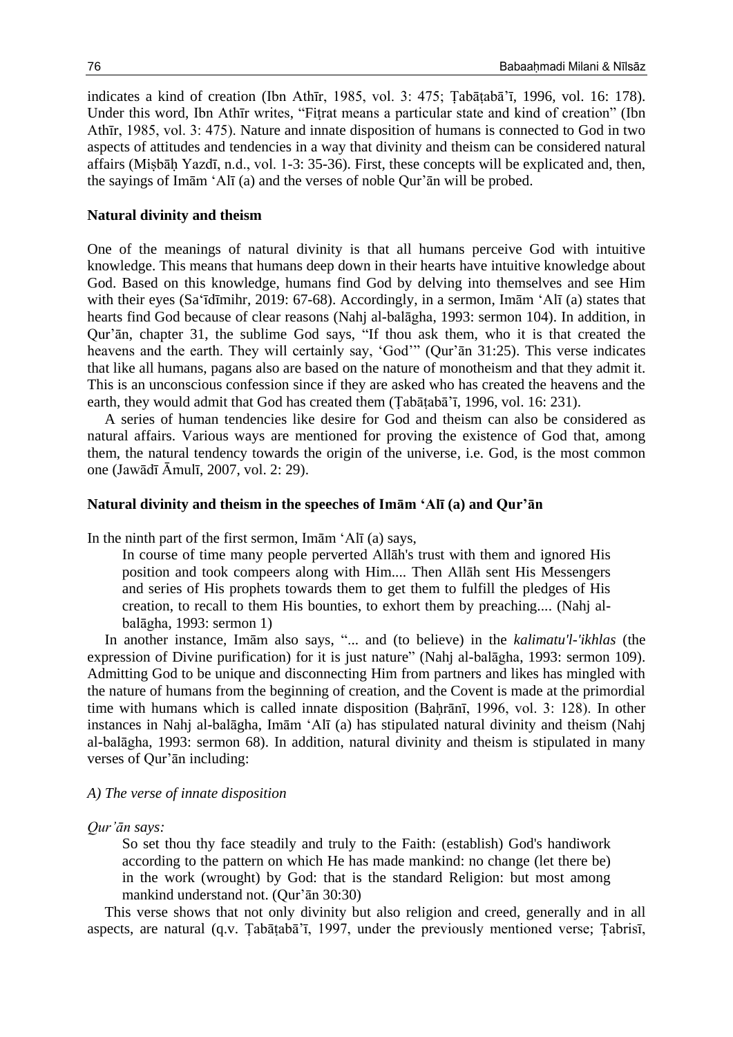indicates a kind of creation (Ibn Athīr, 1985, vol. 3: 475; Ṭabāṭabā'ī, 1996, vol. 16: 178). Under this word, Ibn Athīr writes, "Fiṭrat means a particular state and kind of creation" (Ibn Athīr, 1985, vol. 3: 475). Nature and innate disposition of humans is connected to God in two aspects of attitudes and tendencies in a way that divinity and theism can be considered natural affairs (Miṣbāḥ Yazdī, n.d., vol. 1-3: 35-36). First, these concepts will be explicated and, then, the sayings of Imām 'Alī (a) and the verses of noble Qur'ān will be probed.

#### **Natural divinity and theism**

One of the meanings of natural divinity is that all humans perceive God with intuitive knowledge. This means that humans deep down in their hearts have intuitive knowledge about God. Based on this knowledge, humans find God by delving into themselves and see Him with their eyes (Sa'īdīmihr, 2019: 67-68). Accordingly, in a sermon, Imām 'Alī (a) states that hearts find God because of clear reasons (Nahj al-balāgha, 1993: sermon 104). In addition, in Qur'ān, chapter 31, the sublime God says, "If thou ask them, who it is that created the heavens and the earth. They will certainly say, 'God'" (Qur'ān 31:25). This verse indicates that like all humans, pagans also are based on the nature of monotheism and that they admit it. This is an unconscious confession since if they are asked who has created the heavens and the earth, they would admit that God has created them (Ṭabāṭabā'ī, 1996, vol. 16: 231).

A series of human tendencies like desire for God and theism can also be considered as natural affairs. Various ways are mentioned for proving the existence of God that, among them, the natural tendency towards the origin of the universe, i.e. God, is the most common one (Jawādī Āmulī, 2007, vol. 2: 29).

#### **Natural divinity and theism in the speeches of Imām 'Alī (a) and Qur'ān**

In the ninth part of the first sermon, Imām 'Alī (a) says,

In course of time many people perverted Allāh's trust with them and ignored His position and took compeers along with Him.... Then Allāh sent His Messengers and series of His prophets towards them to get them to fulfill the pledges of His creation, to recall to them His bounties, to exhort them by preaching.... (Nahj albalāgha, 1993: sermon 1)

In another instance, Imām also says, "... and (to believe) in the *kalimatu'l-'ikhlas* (the expression of Divine purification) for it is just nature" (Nahj al-balāgha, 1993: sermon 109). Admitting God to be unique and disconnecting Him from partners and likes has mingled with the nature of humans from the beginning of creation, and the Covent is made at the primordial time with humans which is called innate disposition (Bahrānī, 1996, vol. 3: 128). In other instances in Nahj al-balāgha, Imām 'Alī (a) has stipulated natural divinity and theism (Nahj al-balāgha, 1993: sermon 68). In addition, natural divinity and theism is stipulated in many verses of Qur'ān including:

#### *A) The verse of innate disposition*

*Qur'ān says:* 

So set thou thy face steadily and truly to the Faith: (establish) God's handiwork according to the pattern on which He has made mankind: no change (let there be) in the work (wrought) by God: that is the standard Religion: but most among mankind understand not. (Qur'ān 30:30)

This verse shows that not only divinity but also religion and creed, generally and in all aspects, are natural (q.v. Ṭabāṭabā'ī, 1997, under the previously mentioned verse; Ṭabrisī,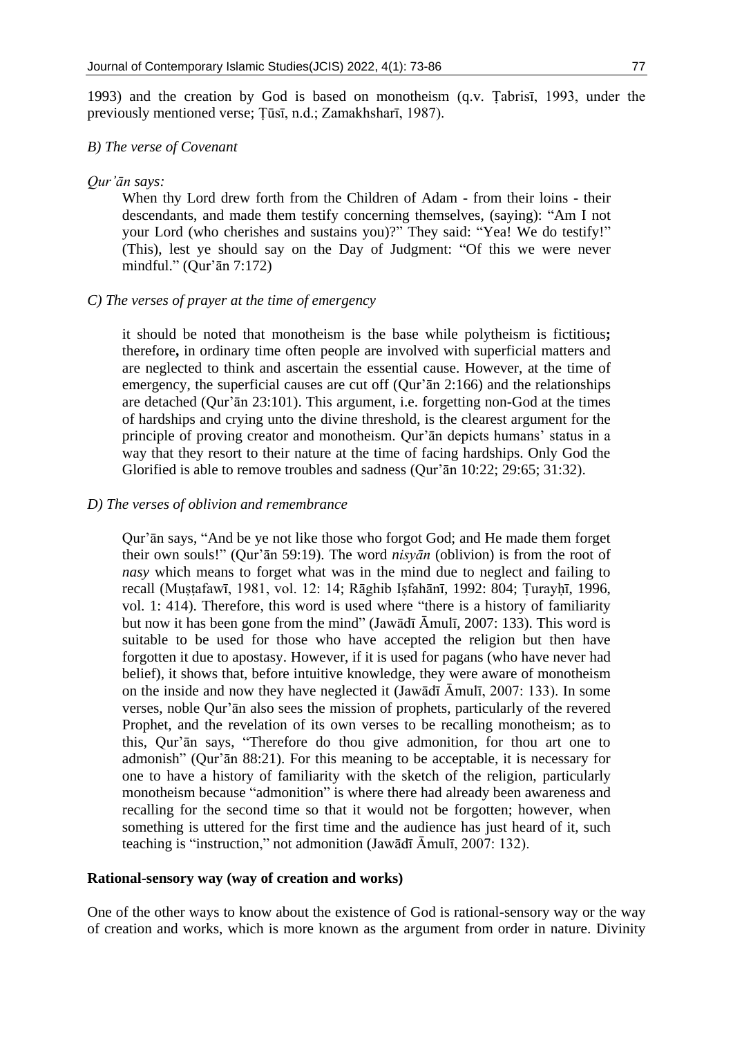1993) and the creation by God is based on monotheism (q.v. Ṭabrisī, 1993, under the previously mentioned verse; Ṭūsī, n.d.; Zamakhsharī, 1987).

#### *B) The verse of Covenant*

*Qur'ān says:*

When thy Lord drew forth from the Children of Adam - from their loins - their descendants, and made them testify concerning themselves, (saying): "Am I not your Lord (who cherishes and sustains you)?" They said: "Yea! We do testify!" (This), lest ye should say on the Day of Judgment: "Of this we were never mindful." (Qur'ān 7:172)

#### *C) The verses of prayer at the time of emergency*

it should be noted that monotheism is the base while polytheism is fictitious**;**  therefore**,** in ordinary time often people are involved with superficial matters and are neglected to think and ascertain the essential cause. However, at the time of emergency, the superficial causes are cut off (Qur'ān 2:166) and the relationships are detached (Qur'ān 23:101). This argument, i.e. forgetting non-God at the times of hardships and crying unto the divine threshold, is the clearest argument for the principle of proving creator and monotheism. Qur'ān depicts humans' status in a way that they resort to their nature at the time of facing hardships. Only God the Glorified is able to remove troubles and sadness (Qur'ān 10:22; 29:65; 31:32).

#### *D) The verses of oblivion and remembrance*

Qur'ān says, "And be ye not like those who forgot God; and He made them forget their own souls!" (Qur'ān 59:19). The word *nisyān* (oblivion) is from the root of *nasy* which means to forget what was in the mind due to neglect and failing to recall (Muṣṭafawī, 1981, vol. 12: 14; Rāghib Iṣfahānī, 1992: 804; Ṭurayḥī, 1996, vol. 1: 414). Therefore, this word is used where "there is a history of familiarity but now it has been gone from the mind" (Jawādī Āmulī, 2007: 133). This word is suitable to be used for those who have accepted the religion but then have forgotten it due to apostasy. However, if it is used for pagans (who have never had belief), it shows that, before intuitive knowledge, they were aware of monotheism on the inside and now they have neglected it (Jawādī Āmulī, 2007: 133). In some verses, noble Qur'ān also sees the mission of prophets, particularly of the revered Prophet, and the revelation of its own verses to be recalling monotheism; as to this, Qur'ān says, "Therefore do thou give admonition, for thou art one to admonish" (Qur'ān 88:21). For this meaning to be acceptable, it is necessary for one to have a history of familiarity with the sketch of the religion, particularly monotheism because "admonition" is where there had already been awareness and recalling for the second time so that it would not be forgotten; however, when something is uttered for the first time and the audience has just heard of it, such teaching is "instruction," not admonition (Jawādī Āmulī, 2007: 132).

#### **Rational-sensory way (way of creation and works)**

One of the other ways to know about the existence of God is rational-sensory way or the way of creation and works, which is more known as the argument from order in nature. Divinity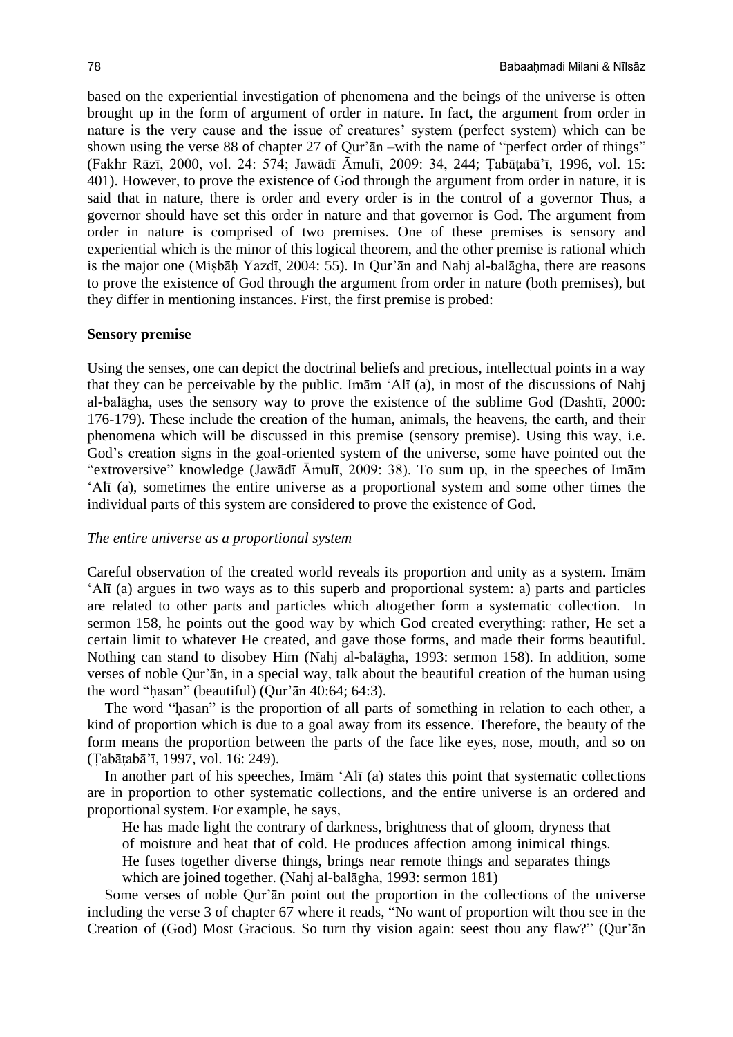based on the experiential investigation of phenomena and the beings of the universe is often brought up in the form of argument of order in nature. In fact, the argument from order in nature is the very cause and the issue of creatures' system (perfect system) which can be shown using the verse 88 of chapter 27 of Qur'ān –with the name of "perfect order of things" (Fakhr Rāzī, 2000, vol. 24: 574; Jawādī Āmulī, 2009: 34, 244; Ṭabāṭabā'ī, 1996, vol. 15: 401). However, to prove the existence of God through the argument from order in nature, it is said that in nature, there is order and every order is in the control of a governor Thus, a governor should have set this order in nature and that governor is God. The argument from order in nature is comprised of two premises. One of these premises is sensory and experiential which is the minor of this logical theorem, and the other premise is rational which is the major one (Miṣbāḥ Yazdī, 2004: 55). In Qur'ān and Nahj al-balāgha, there are reasons to prove the existence of God through the argument from order in nature (both premises), but they differ in mentioning instances. First, the first premise is probed:

#### **Sensory premise**

Using the senses, one can depict the doctrinal beliefs and precious, intellectual points in a way that they can be perceivable by the public. Imām 'Alī (a), in most of the discussions of Nahj al-balāgha, uses the sensory way to prove the existence of the sublime God (Dashtī, 2000: 176-179). These include the creation of the human, animals, the heavens, the earth, and their phenomena which will be discussed in this premise (sensory premise). Using this way, i.e. God's creation signs in the goal-oriented system of the universe, some have pointed out the "extroversive" knowledge (Jawādī Āmulī, 2009: 38). To sum up, in the speeches of Imām 'Alī (a), sometimes the entire universe as a proportional system and some other times the individual parts of this system are considered to prove the existence of God.

#### *The entire universe as a proportional system*

Careful observation of the created world reveals its proportion and unity as a system. Imām 'Alī (a) argues in two ways as to this superb and proportional system: a) parts and particles are related to other parts and particles which altogether form a systematic collection. In sermon 158, he points out the good way by which God created everything: rather, He set a certain limit to whatever He created, and gave those forms, and made their forms beautiful. Nothing can stand to disobey Him (Nahj al-balāgha, 1993: sermon 158). In addition, some verses of noble Qur'ān, in a special way, talk about the beautiful creation of the human using the word "ḥasan" (beautiful) (Qur'ān 40:64; 64:3).

The word "ḥasan" is the proportion of all parts of something in relation to each other, a kind of proportion which is due to a goal away from its essence. Therefore, the beauty of the form means the proportion between the parts of the face like eyes, nose, mouth, and so on (Ṭabāṭabā'ī, 1997, vol. 16: 249).

In another part of his speeches, Imām 'Alī (a) states this point that systematic collections are in proportion to other systematic collections, and the entire universe is an ordered and proportional system. For example, he says,

He has made light the contrary of darkness, brightness that of gloom, dryness that

of moisture and heat that of cold. He produces affection among inimical things.

He fuses together diverse things, brings near remote things and separates things

which are joined together. (Nahj al-balāgha, 1993: sermon 181)

Some verses of noble Qur'ān point out the proportion in the collections of the universe including the verse 3 of chapter 67 where it reads, "No want of proportion wilt thou see in the Creation of (God) Most Gracious. So turn thy vision again: seest thou any flaw?" (Qur'ān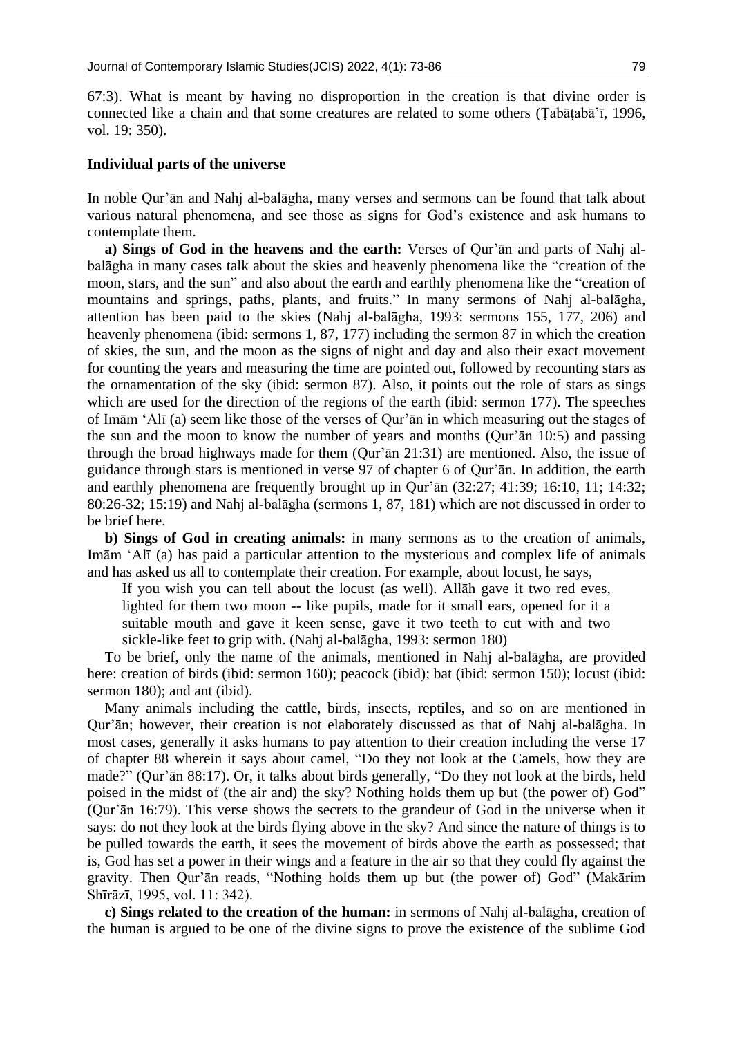67:3). What is meant by having no disproportion in the creation is that divine order is connected like a chain and that some creatures are related to some others (Ṭabāṭabā'ī, 1996, vol. 19: 350).

#### **Individual parts of the universe**

In noble Qur'ān and Nahj al-balāgha, many verses and sermons can be found that talk about various natural phenomena, and see those as signs for God's existence and ask humans to contemplate them.

**a) Sings of God in the heavens and the earth:** Verses of Qur'ān and parts of Nahj albalāgha in many cases talk about the skies and heavenly phenomena like the "creation of the moon, stars, and the sun" and also about the earth and earthly phenomena like the "creation of mountains and springs, paths, plants, and fruits." In many sermons of Nahj al-balāgha, attention has been paid to the skies (Nahj al-balāgha, 1993: sermons 155, 177, 206) and heavenly phenomena (ibid: sermons 1, 87, 177) including the sermon 87 in which the creation of skies, the sun, and the moon as the signs of night and day and also their exact movement for counting the years and measuring the time are pointed out, followed by recounting stars as the ornamentation of the sky (ibid: sermon 87). Also, it points out the role of stars as sings which are used for the direction of the regions of the earth (ibid: sermon 177). The speeches of Imām 'Alī (a) seem like those of the verses of Qur'ān in which measuring out the stages of the sun and the moon to know the number of years and months (Qur'ān 10:5) and passing through the broad highways made for them (Qur'ān 21:31) are mentioned. Also, the issue of guidance through stars is mentioned in verse 97 of chapter 6 of Qur'ān. In addition, the earth and earthly phenomena are frequently brought up in Qur'ān (32:27; 41:39; 16:10, 11; 14:32; 80:26-32; 15:19) and Nahj al-balāgha (sermons 1, 87, 181) which are not discussed in order to be brief here.

**b) Sings of God in creating animals:** in many sermons as to the creation of animals, Imām 'Alī (a) has paid a particular attention to the mysterious and complex life of animals and has asked us all to contemplate their creation. For example, about locust, he says,

If you wish you can tell about the locust (as well). Allāh gave it two red eves, lighted for them two moon -- like pupils, made for it small ears, opened for it a suitable mouth and gave it keen sense, gave it two teeth to cut with and two sickle-like feet to grip with. (Nahj al-balāgha, 1993: sermon 180)

To be brief, only the name of the animals, mentioned in Nahj al-balāgha, are provided here: creation of birds (ibid: sermon 160); peacock (ibid); bat (ibid: sermon 150); locust (ibid: sermon 180); and ant (ibid).

Many animals including the cattle, birds, insects, reptiles, and so on are mentioned in Qur'ān; however, their creation is not elaborately discussed as that of Nahj al-balāgha. In most cases, generally it asks humans to pay attention to their creation including the verse 17 of chapter 88 wherein it says about camel, "Do they not look at the Camels, how they are made?" (Qur'ān 88:17). Or, it talks about birds generally, "Do they not look at the birds, held poised in the midst of (the air and) the sky? Nothing holds them up but (the power of) God" (Qur'ān 16:79). This verse shows the secrets to the grandeur of God in the universe when it says: do not they look at the birds flying above in the sky? And since the nature of things is to be pulled towards the earth, it sees the movement of birds above the earth as possessed; that is, God has set a power in their wings and a feature in the air so that they could fly against the gravity. Then Qur'ān reads, "Nothing holds them up but (the power of) God" (Makārim Shīrāzī, 1995, vol. 11: 342).

**c) Sings related to the creation of the human:** in sermons of Nahj al-balāgha, creation of the human is argued to be one of the divine signs to prove the existence of the sublime God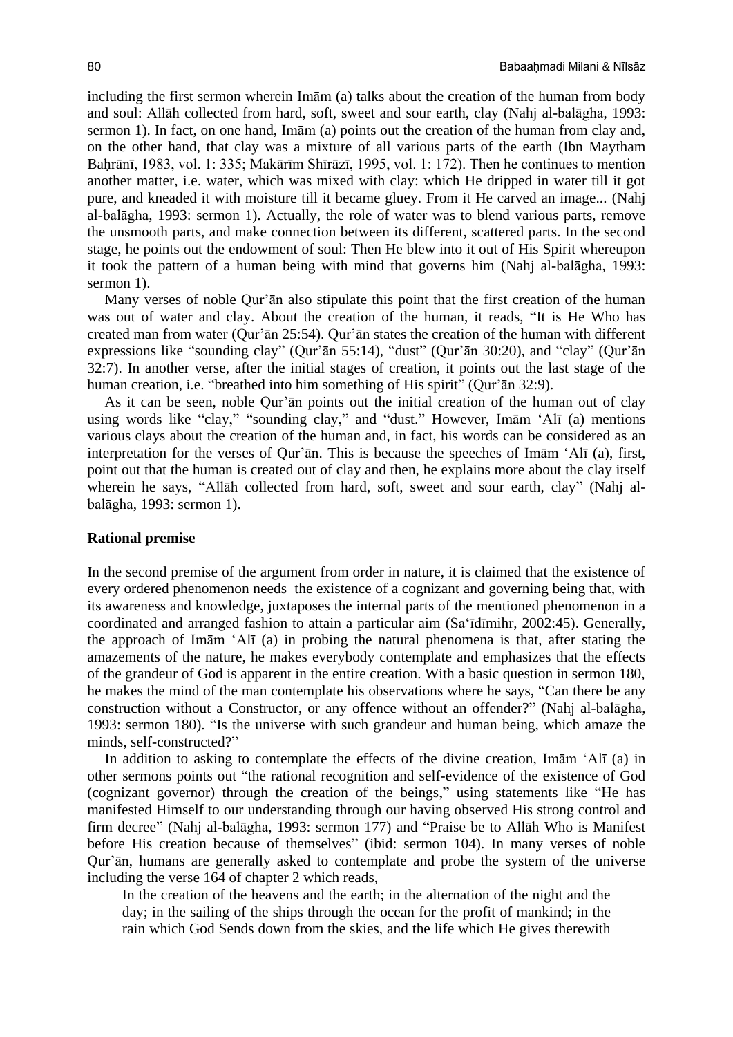including the first sermon wherein Imām (a) talks about the creation of the human from body and soul: Allāh collected from hard, soft, sweet and sour earth, clay (Nahj al-balāgha, 1993: sermon 1). In fact, on one hand, Imām (a) points out the creation of the human from clay and, on the other hand, that clay was a mixture of all various parts of the earth (Ibn Maytham Baḥrānī, 1983, vol. 1: 335; Makārīm Shīrāzī, 1995, vol. 1: 172). Then he continues to mention another matter, i.e. water, which was mixed with clay: which He dripped in water till it got pure, and kneaded it with moisture till it became gluey. From it He carved an image... (Nahj al-balāgha, 1993: sermon 1). Actually, the role of water was to blend various parts, remove the unsmooth parts, and make connection between its different, scattered parts. In the second stage, he points out the endowment of soul: Then He blew into it out of His Spirit whereupon it took the pattern of a human being with mind that governs him (Nahj al-balāgha, 1993: sermon 1).

Many verses of noble Qur'ān also stipulate this point that the first creation of the human was out of water and clay. About the creation of the human, it reads, "It is He Who has created man from water (Qur'ān 25:54). Qur'ān states the creation of the human with different expressions like "sounding clay" (Qur'ān 55:14), "dust" (Qur'ān 30:20), and "clay" (Qur'ān 32:7). In another verse, after the initial stages of creation, it points out the last stage of the human creation, i.e. "breathed into him something of His spirit" (Qur'ān 32:9).

As it can be seen, noble Qur'ān points out the initial creation of the human out of clay using words like "clay," "sounding clay," and "dust." However, Imām 'Alī (a) mentions various clays about the creation of the human and, in fact, his words can be considered as an interpretation for the verses of Qur'ān. This is because the speeches of Imām 'Alī (a), first, point out that the human is created out of clay and then, he explains more about the clay itself wherein he says, "Allāh collected from hard, soft, sweet and sour earth, clay" (Nahj albalāgha, 1993: sermon 1).

#### **Rational premise**

In the second premise of the argument from order in nature, it is claimed that the existence of every ordered phenomenon needs the existence of a cognizant and governing being that, with its awareness and knowledge, juxtaposes the internal parts of the mentioned phenomenon in a coordinated and arranged fashion to attain a particular aim (Sa'īdīmihr, 2002:45). Generally, the approach of Imām 'Alī (a) in probing the natural phenomena is that, after stating the amazements of the nature, he makes everybody contemplate and emphasizes that the effects of the grandeur of God is apparent in the entire creation. With a basic question in sermon 180, he makes the mind of the man contemplate his observations where he says, "Can there be any construction without a Constructor, or any offence without an offender?" (Nahj al-balāgha, 1993: sermon 180). "Is the universe with such grandeur and human being, which amaze the minds, self-constructed?"

In addition to asking to contemplate the effects of the divine creation, Imām 'Alī (a) in other sermons points out "the rational recognition and self-evidence of the existence of God (cognizant governor) through the creation of the beings," using statements like "He has manifested Himself to our understanding through our having observed His strong control and firm decree" (Nahj al-balāgha, 1993: sermon 177) and "Praise be to Allāh Who is Manifest before His creation because of themselves" (ibid: sermon 104). In many verses of noble Qur'ān, humans are generally asked to contemplate and probe the system of the universe including the verse 164 of chapter 2 which reads,

In the creation of the heavens and the earth; in the alternation of the night and the day; in the sailing of the ships through the ocean for the profit of mankind; in the rain which God Sends down from the skies, and the life which He gives therewith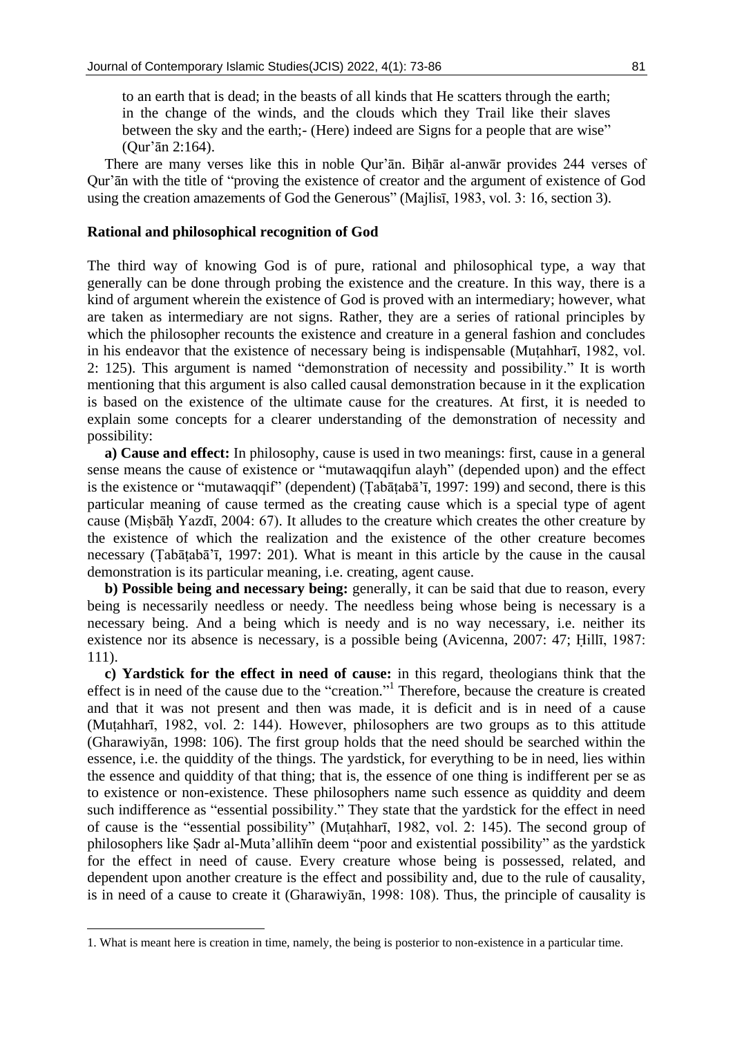to an earth that is dead; in the beasts of all kinds that He scatters through the earth; in the change of the winds, and the clouds which they Trail like their slaves between the sky and the earth;- (Here) indeed are Signs for a people that are wise" (Qur'ān 2:164).

There are many verses like this in noble Qur'ān. Biḥār al-anwār provides 244 verses of Qur'ān with the title of "proving the existence of creator and the argument of existence of God using the creation amazements of God the Generous" (Majlisī, 1983, vol. 3: 16, section 3).

### **Rational and philosophical recognition of God**

The third way of knowing God is of pure, rational and philosophical type, a way that generally can be done through probing the existence and the creature. In this way, there is a kind of argument wherein the existence of God is proved with an intermediary; however, what are taken as intermediary are not signs. Rather, they are a series of rational principles by which the philosopher recounts the existence and creature in a general fashion and concludes in his endeavor that the existence of necessary being is indispensable (Muṭahharī, 1982, vol. 2: 125). This argument is named "demonstration of necessity and possibility." It is worth mentioning that this argument is also called causal demonstration because in it the explication is based on the existence of the ultimate cause for the creatures. At first, it is needed to explain some concepts for a clearer understanding of the demonstration of necessity and possibility:

**a) Cause and effect:** In philosophy, cause is used in two meanings: first, cause in a general sense means the cause of existence or "mutawaqqifun alayh" (depended upon) and the effect is the existence or "mutawaqqif" (dependent) (Ṭabāṭabā'ī, 1997: 199) and second, there is this particular meaning of cause termed as the creating cause which is a special type of agent cause (Miṣbāḥ Yazdī, 2004: 67). It alludes to the creature which creates the other creature by the existence of which the realization and the existence of the other creature becomes necessary (Ṭabāṭabā'ī, 1997: 201). What is meant in this article by the cause in the causal demonstration is its particular meaning, i.e. creating, agent cause.

**b) Possible being and necessary being:** generally, it can be said that due to reason, every being is necessarily needless or needy. The needless being whose being is necessary is a necessary being. And a being which is needy and is no way necessary, i.e. neither its existence nor its absence is necessary, is a possible being (Avicenna, 2007: 47; Ḥillī, 1987: 111).

**c) Yardstick for the effect in need of cause:** in this regard, theologians think that the effect is in need of the cause due to the "creation."<sup>1</sup> Therefore, because the creature is created and that it was not present and then was made, it is deficit and is in need of a cause (Muṭahharī, 1982, vol. 2: 144). However, philosophers are two groups as to this attitude (Gharawiyān, 1998: 106). The first group holds that the need should be searched within the essence, i.e. the quiddity of the things. The yardstick, for everything to be in need, lies within the essence and quiddity of that thing; that is, the essence of one thing is indifferent per se as to existence or non-existence. These philosophers name such essence as quiddity and deem such indifference as "essential possibility." They state that the yardstick for the effect in need of cause is the "essential possibility" (Muṭahharī, 1982, vol. 2: 145). The second group of philosophers like Ṣadr al-Muta'allihīn deem "poor and existential possibility" as the yardstick for the effect in need of cause. Every creature whose being is possessed, related, and dependent upon another creature is the effect and possibility and, due to the rule of causality, is in need of a cause to create it (Gharawiyān, 1998: 108). Thus, the principle of causality is

**.** 

<sup>1.</sup> What is meant here is creation in time, namely, the being is posterior to non-existence in a particular time.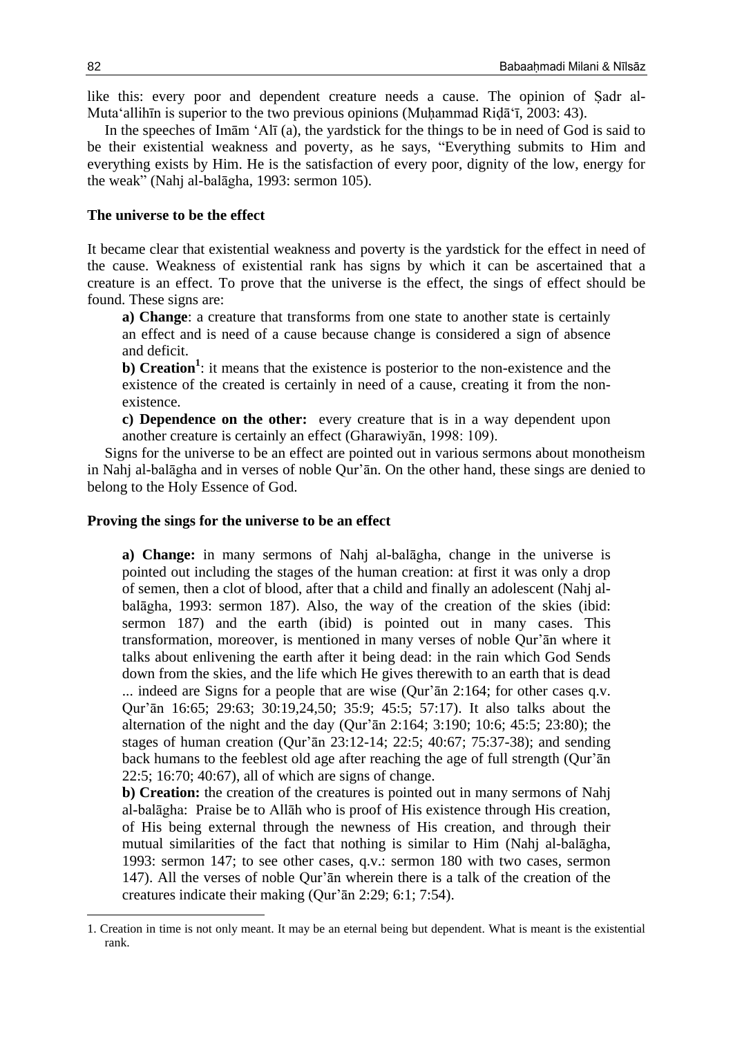like this: every poor and dependent creature needs a cause. The opinion of Ṣadr al-Muta'allihīn is superior to the two previous opinions (Muḥammad Riḍā'ī, 2003: 43).

In the speeches of Imām 'Alī (a), the yardstick for the things to be in need of God is said to be their existential weakness and poverty, as he says, "Everything submits to Him and everything exists by Him. He is the satisfaction of every poor, dignity of the low, energy for the weak" (Nahj al-balāgha, 1993: sermon 105).

#### **The universe to be the effect**

It became clear that existential weakness and poverty is the yardstick for the effect in need of the cause. Weakness of existential rank has signs by which it can be ascertained that a creature is an effect. To prove that the universe is the effect, the sings of effect should be found. These signs are:

**a) Change**: a creature that transforms from one state to another state is certainly an effect and is need of a cause because change is considered a sign of absence and deficit.

**b)** Creation<sup>1</sup>: it means that the existence is posterior to the non-existence and the existence of the created is certainly in need of a cause, creating it from the nonexistence.

**c) Dependence on the other:** every creature that is in a way dependent upon another creature is certainly an effect (Gharawiyān, 1998: 109).

Signs for the universe to be an effect are pointed out in various sermons about monotheism in Nahj al-balāgha and in verses of noble Qur'ān. On the other hand, these sings are denied to belong to the Holy Essence of God.

#### **Proving the sings for the universe to be an effect**

**a) Change:** in many sermons of Nahj al-balāgha, change in the universe is pointed out including the stages of the human creation: at first it was only a drop of semen, then a clot of blood, after that a child and finally an adolescent (Nahj albalāgha, 1993: sermon 187). Also, the way of the creation of the skies (ibid: sermon 187) and the earth (ibid) is pointed out in many cases. This transformation, moreover, is mentioned in many verses of noble Qur'ān where it talks about enlivening the earth after it being dead: in the rain which God Sends down from the skies, and the life which He gives therewith to an earth that is dead ... indeed are Signs for a people that are wise (Qur'ān 2:164; for other cases q.v. Qur'ān 16:65; 29:63; 30:19,24,50; 35:9; 45:5; 57:17). It also talks about the alternation of the night and the day (Qur'ān 2:164; 3:190; 10:6; 45:5; 23:80); the stages of human creation (Qur'ān 23:12-14; 22:5; 40:67; 75:37-38); and sending back humans to the feeblest old age after reaching the age of full strength (Qur'ān 22:5; 16:70; 40:67), all of which are signs of change.

**b) Creation:** the creation of the creatures is pointed out in many sermons of Nahj al-balāgha: Praise be to Allāh who is proof of His existence through His creation, of His being external through the newness of His creation, and through their mutual similarities of the fact that nothing is similar to Him (Nahj al-balāgha, 1993: sermon 147; to see other cases, q.v.: sermon 180 with two cases, sermon 147). All the verses of noble Qur'ān wherein there is a talk of the creation of the creatures indicate their making (Qur'ān 2:29; 6:1; 7:54).

1

<sup>1.</sup> Creation in time is not only meant. It may be an eternal being but dependent. What is meant is the existential rank.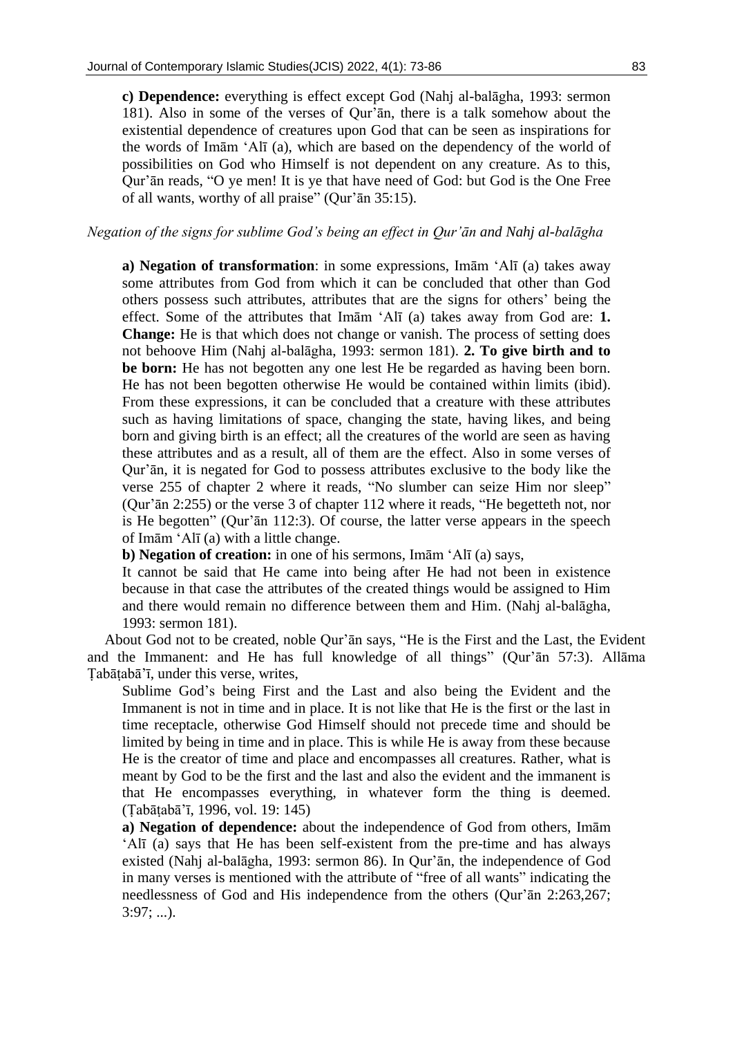**c) Dependence:** everything is effect except God (Nahj al-balāgha, 1993: sermon 181). Also in some of the verses of Qur'ān, there is a talk somehow about the existential dependence of creatures upon God that can be seen as inspirations for the words of Imām 'Alī (a), which are based on the dependency of the world of possibilities on God who Himself is not dependent on any creature. As to this, Qur'ān reads, "O ye men! It is ye that have need of God: but God is the One Free of all wants, worthy of all praise" (Qur'ān 35:15).

## *Negation of the signs for sublime God's being an effect in Qur'ān and Nahj al-balāgha*

**a) Negation of transformation**: in some expressions, Imām 'Alī (a) takes away some attributes from God from which it can be concluded that other than God others possess such attributes, attributes that are the signs for others' being the effect. Some of the attributes that Imām 'Alī (a) takes away from God are: **1. Change:** He is that which does not change or vanish. The process of setting does not behoove Him (Nahj al-balāgha, 1993: sermon 181). **2. To give birth and to be born:** He has not begotten any one lest He be regarded as having been born. He has not been begotten otherwise He would be contained within limits (ibid). From these expressions, it can be concluded that a creature with these attributes such as having limitations of space, changing the state, having likes, and being born and giving birth is an effect; all the creatures of the world are seen as having these attributes and as a result, all of them are the effect. Also in some verses of Qur'ān, it is negated for God to possess attributes exclusive to the body like the verse 255 of chapter 2 where it reads, "No slumber can seize Him nor sleep" (Qur'ān 2:255) or the verse 3 of chapter 112 where it reads, "He begetteth not, nor is He begotten" (Qur'ān 112:3). Of course, the latter verse appears in the speech of Imām 'Alī (a) with a little change.

**b) Negation of creation:** in one of his sermons, Imām 'Alī (a) says,

It cannot be said that He came into being after He had not been in existence because in that case the attributes of the created things would be assigned to Him and there would remain no difference between them and Him. (Nahj al-balāgha, 1993: sermon 181).

About God not to be created, noble Qur'ān says, "He is the First and the Last, the Evident and the Immanent: and He has full knowledge of all things" (Qur'ān 57:3). Allāma Ṭabāṭabā'ī, under this verse, writes,

Sublime God's being First and the Last and also being the Evident and the Immanent is not in time and in place. It is not like that He is the first or the last in time receptacle, otherwise God Himself should not precede time and should be limited by being in time and in place. This is while He is away from these because He is the creator of time and place and encompasses all creatures. Rather, what is meant by God to be the first and the last and also the evident and the immanent is that He encompasses everything, in whatever form the thing is deemed. (Ṭabāṭabā'ī, 1996, vol. 19: 145)

**a) Negation of dependence:** about the independence of God from others, Imām 'Alī (a) says that He has been self-existent from the pre-time and has always existed (Nahj al-balāgha, 1993: sermon 86). In Qur'ān, the independence of God in many verses is mentioned with the attribute of "free of all wants" indicating the needlessness of God and His independence from the others (Qur'ān 2:263,267;  $3:97; ...$ ).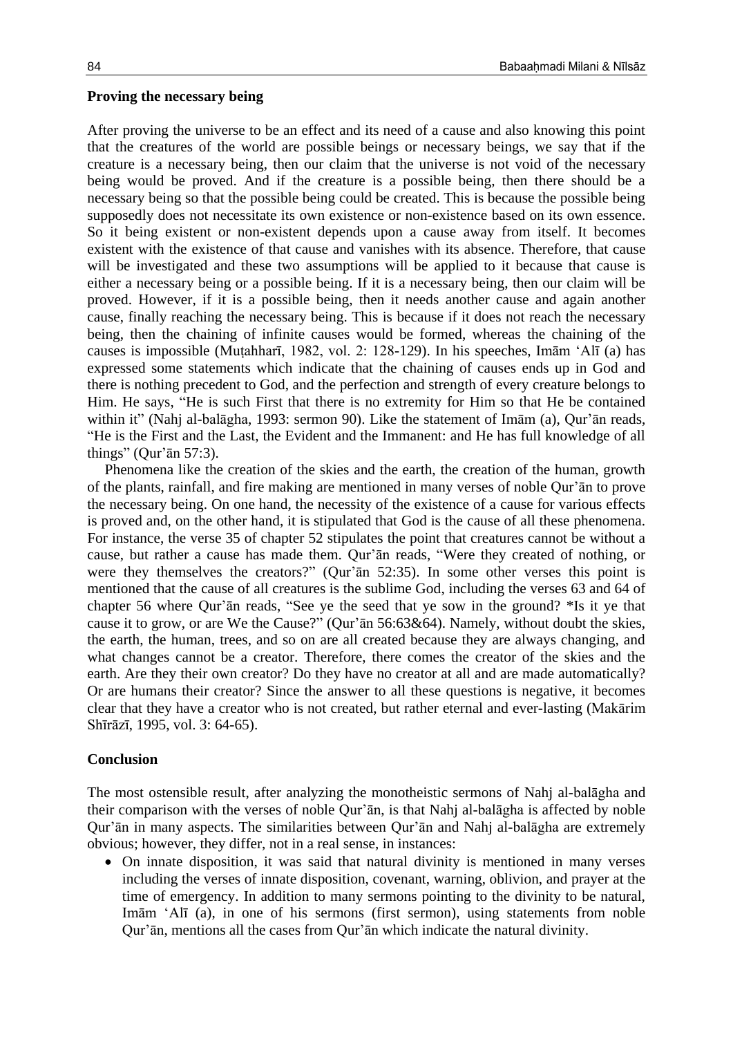#### **Proving the necessary being**

After proving the universe to be an effect and its need of a cause and also knowing this point that the creatures of the world are possible beings or necessary beings, we say that if the creature is a necessary being, then our claim that the universe is not void of the necessary being would be proved. And if the creature is a possible being, then there should be a necessary being so that the possible being could be created. This is because the possible being supposedly does not necessitate its own existence or non-existence based on its own essence. So it being existent or non-existent depends upon a cause away from itself. It becomes existent with the existence of that cause and vanishes with its absence. Therefore, that cause will be investigated and these two assumptions will be applied to it because that cause is either a necessary being or a possible being. If it is a necessary being, then our claim will be proved. However, if it is a possible being, then it needs another cause and again another cause, finally reaching the necessary being. This is because if it does not reach the necessary being, then the chaining of infinite causes would be formed, whereas the chaining of the causes is impossible (Muṭahharī, 1982, vol. 2: 128-129). In his speeches, Imām 'Alī (a) has expressed some statements which indicate that the chaining of causes ends up in God and there is nothing precedent to God, and the perfection and strength of every creature belongs to Him. He says, "He is such First that there is no extremity for Him so that He be contained within it" (Nahj al-balāgha, 1993: sermon 90). Like the statement of Imām (a), Qur'ān reads, "He is the First and the Last, the Evident and the Immanent: and He has full knowledge of all things" (Qur'ān 57:3).

Phenomena like the creation of the skies and the earth, the creation of the human, growth of the plants, rainfall, and fire making are mentioned in many verses of noble Qur'ān to prove the necessary being. On one hand, the necessity of the existence of a cause for various effects is proved and, on the other hand, it is stipulated that God is the cause of all these phenomena. For instance, the verse 35 of chapter 52 stipulates the point that creatures cannot be without a cause, but rather a cause has made them. Qur'ān reads, "Were they created of nothing, or were they themselves the creators?" (Qur'ān 52:35). In some other verses this point is mentioned that the cause of all creatures is the sublime God, including the verses 63 and 64 of chapter 56 where Qur'ān reads, "See ye the seed that ye sow in the ground? \*Is it ye that cause it to grow, or are We the Cause?" (Qur'ān 56:63&64). Namely, without doubt the skies, the earth, the human, trees, and so on are all created because they are always changing, and what changes cannot be a creator. Therefore, there comes the creator of the skies and the earth. Are they their own creator? Do they have no creator at all and are made automatically? Or are humans their creator? Since the answer to all these questions is negative, it becomes clear that they have a creator who is not created, but rather eternal and ever-lasting (Makārim Shīrāzī, 1995, vol. 3: 64-65).

#### **Conclusion**

The most ostensible result, after analyzing the monotheistic sermons of Nahj al-balāgha and their comparison with the verses of noble Qur'ān, is that Nahj al-balāgha is affected by noble Qur'ān in many aspects. The similarities between Qur'ān and Nahj al-balāgha are extremely obvious; however, they differ, not in a real sense, in instances:

 On innate disposition, it was said that natural divinity is mentioned in many verses including the verses of innate disposition, covenant, warning, oblivion, and prayer at the time of emergency. In addition to many sermons pointing to the divinity to be natural, Imām 'Alī (a), in one of his sermons (first sermon), using statements from noble Qur'ān, mentions all the cases from Qur'ān which indicate the natural divinity.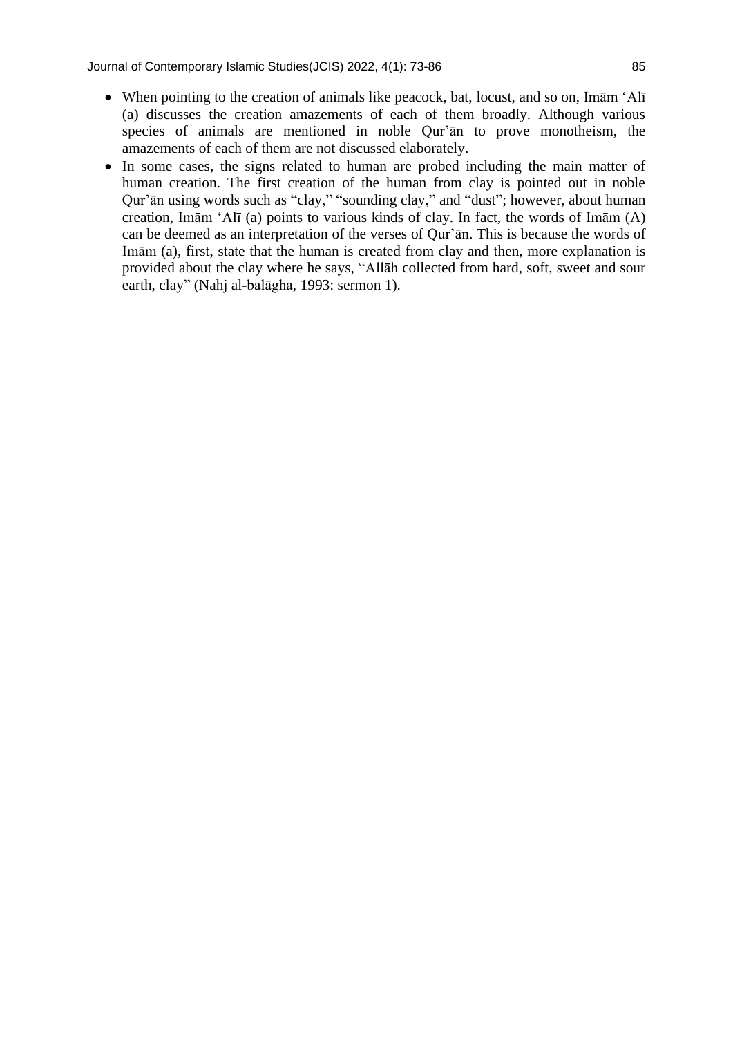- When pointing to the creation of animals like peacock, bat, locust, and so on, Imām 'Alī (a) discusses the creation amazements of each of them broadly. Although various species of animals are mentioned in noble Qur'ān to prove monotheism, the amazements of each of them are not discussed elaborately.
- In some cases, the signs related to human are probed including the main matter of human creation. The first creation of the human from clay is pointed out in noble Qur'ān using words such as "clay," "sounding clay," and "dust"; however, about human creation, Imām 'Alī (a) points to various kinds of clay. In fact, the words of Imām (A) can be deemed as an interpretation of the verses of Qur'ān. This is because the words of Imām (a), first, state that the human is created from clay and then, more explanation is provided about the clay where he says, "Allāh collected from hard, soft, sweet and sour earth, clay" (Nahj al-balāgha, 1993: sermon 1).